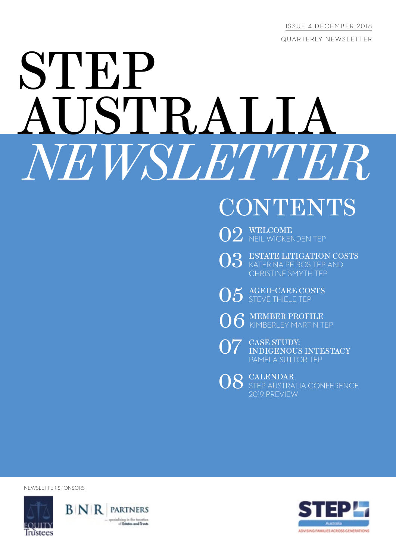ISSUE 4 DECEMBER 2018 QUARTERLY NEWSLETTER

# **STEP** AUSTRALIA *NEWSLETTER*

## **CONTENTS**

O2 WELCOME NEP

03 ESTATE LITIGATION COSTS KATERINA PEIROS TEP AND CHRISTINE SMYTH TEP

O5 AGED-CARE COSTS

O6 MEMBER PROFILE

O7 EASE STUDY:<br>
INDIGENOUS INTESTACY PAMELA SUTTOR TEP

08 CALENDAR STEP AUSTRALIA CONFERENCE 2019 PREVIEW

NEWSLETTER SPONSORS





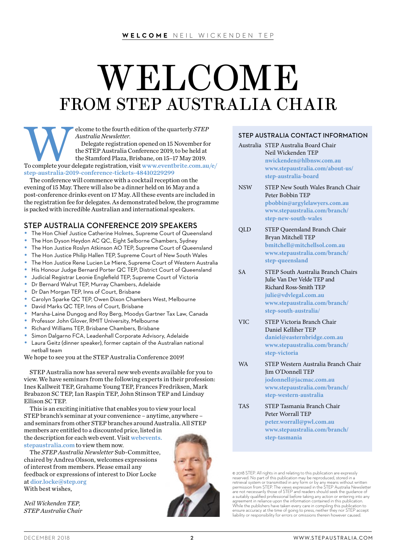## WELCOME FROM STEP AUSTRALIA CHAIR

Elegate registration opened on 15 November for the STEP Australia Conference 2019, to be held at the Stamford Plaza, Brisbane, on 15–17 May 2019.<br>To complete your delegate registration, visit www.eventbrite.com.au/e/ *Australia Newsletter*. Delegate registration opened on 15 November for the STEP Australia Conference 2019, to be held at the Stamford Plaza, Brisbane, on 15–17 May 2019. [step-australia-2019-conference-tickets-48410229299](http://www.eventbrite.com.au/e/step-australia-2019-conference-tickets-48410229299)

The conference will commence with a cocktail reception on the evening of 15 May. There will also be a dinner held on 16 May and a post-conference drinks event on 17 May. All these events are included in the registration fee for delegates. As demonstrated below, the programme is packed with incredible Australian and international speakers.

#### STEP AUSTRALIA CONFERENCE 2019 SPEAKERS

- The Hon Chief Justice Catherine Holmes, Supreme Court of Queensland
- The Hon Dyson Heydon AC QC, Eight Selborne Chambers, Sydney
- The Hon Justice Roslyn Atkinson AO TEP, Supreme Court of Queensland
- The Hon Justice Philip Hallen TEP, Supreme Court of New South Wales
- The Hon Justice Rene Lucien Le Miere, Supreme Court of Western Australia
- His Honour Judge Bernard Porter QC TEP, District Court of Queensland
- Judicial Registrar Leonie Englefield TEP, Supreme Court of Victoria
- Dr Bernard Walrut TEP, Murray Chambers, Adelaide
- Dr Dan Morgan TEP, Inns of Court, Brisbane
- Carolyn Sparke QC TEP, Owen Dixon Chambers West, Melbourne
- David Marks QC TEP, Inns of Court, Brisbane
- Marsha-Laine Dungog and Roy Berg, Moodys Gartner Tax Law, Canada
- Professor John Glover, RMIT University, Melbourne
- Richard Williams TEP, Brisbane Chambers, Brisbane
- Simon Dalgarno FCA, Leadenhall Corporate Advisory, Adelaide
- Laura Geitz (dinner speaker), former captain of the Australian national netball team

We hope to see you at the STEP Australia Conference 2019!

STEP Australia now has several new web events available for you to view. We have seminars from the following experts in their profession: Ines Kallweit TEP, Grahame Young TEP, Frances Fredriksen, Mark Brabazon SC TEP, Ian Raspin TEP, John Stinson TEP and Lindsay Ellison SC TEP.

This is an exciting initiative that enables you to view your local STEP branch's seminar at your convenience – anytime, anywhere – and seminars from other STEP branches around Australia. All STEP members are entitled to a discounted price, listed in the description for each web event. Visit [webevents.](http://webevents.stepaustralia.com)

[stepaustralia.com](http://webevents.stepaustralia.com) to view them now.

The *STEP Australia Newsletter* Sub-Committee, chaired by Andrea Olsson, welcomes expressions of interest from members. Please email any feedback or expressions of interest to Dior Locke at [dior.locke@step.org](mailto:dior.locke%40step.org?subject=)

With best wishes,

*Neil Wickenden TEP, STEP Australia Chair*



#### STEP AUSTRALIA CONTACT INFORMATION

```
Australia STEP Australia Board Chair
         Neil Wickenden TEP 
         nwickenden@hlbnsw.com.au
         www.stepaustralia.com/about-us/ 
         step-australia-board
```
- NSW STEP New South Wales Branch Chair Peter Bobbin TEP **[pbobbin@argylelawyers.com.au](mailto:pbobbin%40argylelawyers.com.au?subject=)  [www.stepaustralia.com/branch/](http://www.stepaustralia.com/branch/step-new-south-wales)  [step-new-south-wales](http://www.stepaustralia.com/branch/step-new-south-wales)**
- QLD STEP Queensland Branch Chair Bryan Mitchell TEP **[bmitchell@mitchellsol.com.au](mailto:bmitchell%40mitchellsol.com.au?subject=)  [www.stepaustralia.com/branch/](http://www.stepaustralia.com/branch/step-queensland)  [step-queensland](http://www.stepaustralia.com/branch/step-queensland)**
- SA STEP South Australia Branch Chairs Julie Van Der Velde TEP and Richard Ross-Smith TEP **[julie@vdvlegal.com.au](mailto:julie%40vdvlegal.com.au?subject=)  [www.stepaustralia.com/branch/](http://www.stepaustralia.com/branch/step-south-australia/)  [step-south-australia/](http://www.stepaustralia.com/branch/step-south-australia/)**
- VIC STEP Victoria Branch Chair Daniel Kelliher TEP **[daniel@easternbridge.com.au](mailto:daniel%40easternbridge.com.au?subject=) [www.stepaustralia.com/branch/](http://www.stepaustralia.com/branch/step-victoria)  [step-victoria](http://www.stepaustralia.com/branch/step-victoria)**
- WA STEP Western Australia Branch Chair Jim O'Donnell TEP **[jodonnell@jacmac.com.au](mailto:jodonnell%40jacmac.com.au?subject=) [www.stepaustralia.com/branch/](http://www.stepaustralia.com/branch/step-western-australia)  [step-western-australia](http://www.stepaustralia.com/branch/step-western-australia)**
- TAS STEP Tasmania Branch Chair Peter Worrall TEP **[peter.worrall@pwl.com.au](mailto:peter.worrall%40pwl.com.au?subject=)  [www.stepaustralia.com/branch/](http://www.stepaustralia.com/branch/step-tasmania)  [step-tasmania](http://www.stepaustralia.com/branch/step-tasmania)**

© 2018 STEP. All rights in and relating to this publication are expressly reserved. No part of this publication may be reproduced, stored in a<br>retrieval system or transmitted in any form or by any means without written<br>permission from STEP. The views expressed in the STEP Australia Newsletter<br>ar liability or responsibility for errors or omissions therein however caused.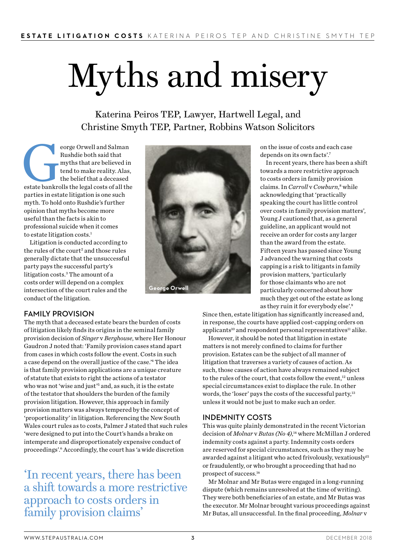# Myths and misery

Katerina Peiros TEP, Lawyer, Hartwell Legal, and Christine Smyth TEP, Partner, Robbins Watson Solicitors

eorge Orwell and Salman<br>Rushdie both said that<br>myths that are believed in<br>tend to make reality. Alas,<br>the belief that a deceased<br>estate bankrolls the legal costs of all the Rushdie both said that myths that are believed in tend to make reality. Alas, the belief that a deceased parties in estate litigation is one such myth. To hold onto Rushdie's further opinion that myths become more useful than the facts is akin to professional suicide when it comes to estate litigation costs.<sup>1</sup>

Litigation is conducted according to the rules of the court<sup>2</sup> and those rules generally dictate that the unsuccessful party pays the successful party's litigation costs.3 The amount of a costs order will depend on a complex intersection of the court rules and the conduct of the litigation.



on the issue of costs and each case depends on its own facts'.7

In recent years, there has been a shift towards a more restrictive approach to costs orders in family provision claims. In *Carroll* v Cowburn,<sup>8</sup> while acknowledging that 'practically speaking the court has little control over costs in family provision matters', Young J cautioned that, as a general guideline, an applicant would not receive an order for costs any larger than the award from the estate. Fifteen years has passed since Young J advanced the warning that costs capping is a risk to litigants in family provision matters, 'particularly for those claimants who are not particularly concerned about how much they get out of the estate as long as they ruin it for everybody else'.9

#### FAMILY PROVISION

The myth that a deceased estate bears the burden of costs of litigation likely finds its origins in the seminal family provision decision of *Singer* v *Berghouse*, where Her Honour Gaudron J noted that: 'Family provision cases stand apart from cases in which costs follow the event. Costs in such a case depend on the overall justice of the case.'4 The idea is that family provision applications are a unique creature of statute that exists to right the actions of a testator who was not 'wise and just'<sup>5</sup> and, as such, it is the estate of the testator that shoulders the burden of the family provision litigation. However, this approach in family provision matters was always tempered by the concept of 'proportionality' in litigation. Referencing the New South Wales court rules as to costs, Palmer J stated that such rules 'were designed to put into the Court's hands a brake on intemperate and disproportionately expensive conduct of proceedings'.<sup>6</sup> Accordingly, the court has 'a wide discretion

'In recent years, there has been a shift towards a more restrictive approach to costs orders in family provision claims'

Since then, estate litigation has significantly increased and, in response, the courts have applied cost-capping orders on applicants<sup>10</sup> and respondent personal representatives<sup>11</sup> alike.

However, it should be noted that litigation in estate matters is not merely confined to claims for further provision. Estates can be the subject of all manner of litigation that traverses a variety of causes of action. As such, those causes of action have always remained subject to the rules of the court, that costs follow the event,<sup>12</sup> unless special circumstances exist to displace the rule. In other words, the 'loser' pays the costs of the successful party,<sup>13</sup> unless it would not be just to make such an order.

#### INDEMNITY COSTS

This was quite plainly demonstrated in the recent Victorian decision of *Molnar* v *Butas (No 4)*, 14 where McMillan J ordered indemnity costs against a party. Indemnity costs orders are reserved for special circumstances, such as they may be awarded against a litigant who acted frivolously, vexatiously<sup>15</sup> or fraudulently, or who brought a proceeding that had no prospect of success.16

Mr Molnar and Mr Butas were engaged in a long-running dispute (which remains unresolved at the time of writing). They were both beneficiaries of an estate, and Mr Butas was the executor. Mr Molnar brought various proceedings against Mr Butas, all unsuccessful. In the final proceeding, *Molnar* v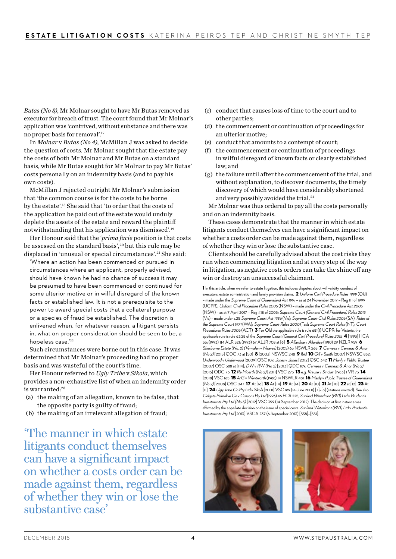*Butas (No 3)*, Mr Molnar sought to have Mr Butas removed as executor for breach of trust. The court found that Mr Molnar's application was 'contrived, without substance and there was no proper basis for removal'.17

In *Molnar* v *Butas (No 4)*, McMillan J was asked to decide the question of costs. Mr Molnar sought that the estate pay the costs of both Mr Molnar and Mr Butas on a standard basis, while Mr Butas sought for Mr Molnar to pay Mr Butas' costs personally on an indemnity basis (and to pay his own costs).

McMillan J rejected outright Mr Molnar's submission that 'the common course is for the costs to be borne by the estate'.18 She said that 'to order that the costs of the application be paid out of the estate would unduly deplete the assets of the estate and reward the plaintiff notwithstanding that his application was dismissed'.19

Her Honour said that the '*prima facie* position is that costs be assessed on the standard basis',20 but this rule may be displaced in 'unusual or special circumstances'.<sup>21</sup> She said:

'Where an action has been commenced or pursued in circumstances where an applicant, properly advised, should have known he had no chance of success it may be presumed to have been commenced or continued for some ulterior motive or in wilful disregard of the known facts or established law. It is not a prerequisite to the power to award special costs that a collateral purpose or a species of fraud be established. The discretion is enlivened when, for whatever reason, a litigant persists in, what on proper consideration should be seen to be, a hopeless case.<sup>'22</sup>

Such circumstances were borne out in this case. It was determined that Mr Molnar's proceeding had no proper basis and was wasteful of the court's time.

Her Honour referred to *Ugly Tribe* v *Sikola*, which provides a non-exhaustive list of when an indemnity order is warranted:<sup>23</sup>

- (a) the making of an allegation, known to be false, that the opposite party is guilty of fraud;
- (b) the making of an irrelevant allegation of fraud;

'The manner in which estate litigants conduct themselves can have a significant impact on whether a costs order can be made against them, regardless of whether they win or lose the substantive case'

- (c) conduct that causes loss of time to the court and to other parties;
- (d) the commencement or continuation of proceedings for an ulterior motive;
- (e) conduct that amounts to a contempt of court;
- (f) the commencement or continuation of proceedings in wilful disregard of known facts or clearly established law; and
- (g) the failure until after the commencement of the trial, and without explanation, to discover documents, the timely discovery of which would have considerably shortened and very possibly avoided the trial.<sup>24</sup>

Mr Molnar was thus ordered to pay all the costs personally and on an indemnity basis.

These cases demonstrate that the manner in which estate litigants conduct themselves can have a significant impact on whether a costs order can be made against them, regardless of whether they win or lose the substantive case.

Clients should be carefully advised about the cost risks they run when commencing litigation and at every step of the way in litigation, as negative costs orders can take the shine off any win or destroy an unsuccessful claimant.

1 In this article, when we refer to estate litigation, this includes disputes about will validity, conduct of executors, estate administration and family provision claims. 2 Uniform Civil Procedure Rules 1999 (Qld) – made under the Supreme Court of Queensland Act 1991 – as at 24 November 2017 – Reg 111 of 1999 (UCPR); Uniform Civil Procedure Rules 2005 (NSW) – made under the Civil Procedure Act 2005 (NSW) – as at 7 April 2017 – Reg 418 of 2005; Supreme Court (General Civil Procedure) Rules 2015 (Vic) – made under s.25 Supreme Court Act 1986 (Vic); Supreme Court Civil Rules 2006 (SA); Rules of the Supreme Court 1971 (WA); Supreme Court Rules 2000 (Tas); Supreme Court Rules (NT); Court Procedures Rules 2006 (ACT) 3 For Old the applicable rule is rule 681(1) UCPR; for Victoria, the applicable rule is rule 63.28 of the Supreme Court (General Civil Procedure) Rules 2015 4 [1993] HCA 35; (1993) 114 ALR 521; (1993) 67 ALJR 708 at [6] 5 Allardice v Allardice (1910) 29 NZLR 959 6 Sherborne Estate (No. 2) (Vanvalen v Neaves) (2005) 65 NSWLR 268 7 Cerneaz v Cerneaz & Anor (No 2) [2015] QDC 73 at [50] **8** [2003] NSWSC 248 9 Ibid **10** Gill v Smith [2007] NSWSC 832: Underwood v Underwood [2009] QSC 107; Jones v Jones [2012] QSC 342 11 Manly v Public Trustee [2007] QSC 388 at [114]; DW v RW (No 2) [2013] QDC 189; Cerneaz v Cerneaz & Anor (No 2) [2015] QDC 73 **12** Re Moerth (No 2) [2011] VSC 275 **13** e.g. Krause v Sinclair [1983] 1 VR 73 **14** [2018] VSC 165 15 A-G v Wentworth (1988) 14 NSWLR 481 16 Manly v Public Trustee of Queensland (No 2) [2008] QSC 047 17 At [16] 18 At [14] 19 At [14] 20 At [10] 21 At [10] 22 at [12] 23 At [11] 24 Ugly Tribe Co Pty Ltd y Sikola [2001] VSC 189 (14 June 2001) [7]-[8] (citations omitted). See also Colgate Palmolive Co v Cussons Pty Ltd (1993) 46 FCR 225; SunlandWaterfront (BVI) Ltd v Prudentia Investments Pty Ltd (No 3) [2012] VSC 399 (14 September 2012). The decision at first instance was affirmed by the appellate decision on the issue of special costs: Sunland Waterfront (BVI) Ltd v Prudentia Investments Pty Ltd [2013] VSCA 237 (6 September 2013) [538]–[551].



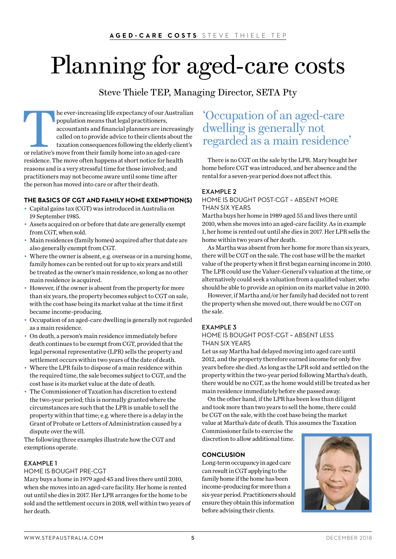# Planning for aged-care costs

Steve Thiele TEP, Managing Director, SETA Pty

The ever-increasing life expectancy of our Australian<br>population means that legal practitioners,<br>accountants and financial planners are increasingly<br>called on to provide advice to their clients about the<br>taxation consequen population means that legal practitioners, accountants and financial planners are increasingly called on to provide advice to their clients about the taxation consequences following the elderly client's or relative's move from their family home into an aged-care residence. The move often happens at short notice for health reasons and is a very stressful time for those involved; and practitioners may not become aware until some time after the person has moved into care or after their death.

#### **THE BASICS OF CGT AND FAMILY HOME EXEMPTION(S)**

- Capital gains tax (CGT) was introduced in Australia on 19 September 1985.
- Assets acquired on or before that date are generally exempt from CGT, when sold.
- Main residences (family homes) acquired after that date are also generally exempt from CGT.
- Where the owner is absent, e.g. overseas or in a nursing home, family homes can be rented out for up to six years and still be treated as the owner's main residence, so long as no other main residence is acquired.
- However, if the owner is absent from the property for more than six years, the property becomes subject to CGT on sale, with the cost base being its market value at the time it first became income-producing.
- Occupation of an aged-care dwelling is generally not regarded as a main residence.
- On death, a person's main residence immediately before death continues to be exempt from CGT, provided that the legal personal representative (LPR) sells the property and settlement occurs within two years of the date of death.
- Where the LPR fails to dispose of a main residence within the required time, the sale becomes subject to CGT, and the cost base is its market value at the date of death.
- The Commissioner of Taxation has discretion to extend the two-year period; this is normally granted where the circumstances are such that the LPR is unable to sell the property within that time; e.g. where there is a delay in the Grant of Probate or Letters of Administration caused by a dispute over the will.

The following three examples illustrate how the CGT and exemptions operate.

#### EXAMPLE 1

#### HOME IS BOUGHT PRE-CGT

Mary buys a home in 1979 aged 45 and lives there until 2010, when she moves into an aged-care facility. Her home is rented out until she dies in 2017. Her LPR arranges for the home to be sold and the settlement occurs in 2018, well within two years of her death.

#### 'Occupation of an aged-care dwelling is generally not regarded as a main residence'

There is no CGT on the sale by the LPR. Mary bought her home before CGT was introduced, and her absence and the rental for a seven-year period does not affect this.

#### EXAMPLE 2

#### HOME IS BOUGHT POST-CGT – ABSENT MORE THAN SIX YEARS

Martha buys her home in 1989 aged 55 and lives there until 2010, when she moves into an aged-care facility. As in example 1, her home is rented out until she dies in 2017. Her LPR sells the home within two years of her death.

As Martha was absent from her home for more than six years, there will be CGT on the sale. The cost base will be the market value of the property when it first began earning income in 2010. The LPR could use the Valuer-General's valuation at the time, or alternatively could seek a valuation from a qualified valuer, who should be able to provide an opinion on its market value in 2010.

However, if Martha and/or her family had decided not to rent the property when she moved out, there would be no CGT on the sale.

#### EXAMPLE 3

#### HOME IS BOUGHT POST-CGT – ABSENT LESS THAN SIX YEARS

Let us say Martha had delayed moving into aged care until 2012, and the property therefore earned income for only five years before she died. As long as the LPR sold and settled on the property within the two-year period following Martha's death, there would be no CGT, as the home would still be treated as her main residence immediately before she passed away.

On the other hand, if the LPR has been less than diligent and took more than two years to sell the home, there could be CGT on the sale, with the cost base being the market value at Martha's date of death. This assumes the Taxation

Commissioner fails to exercise the discretion to allow additional time.

#### **CONCLUSION**

Long-term occupancy in aged care can result in CGT applying to the family home if the home has been income-producing for more than a six-year period. Practitioners should ensure they obtain this information before advising their clients.

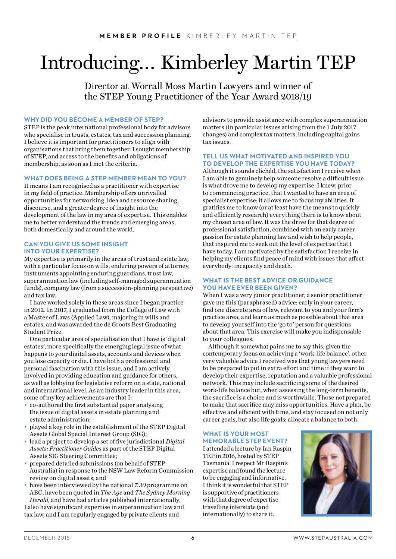## Introducing… Kimberley Martin TEP

Director at Worrall Moss Martin Lawyers and winner of the STEP Young Practitioner of the Year Award 2018/19

#### **WHY DID YOU BECOME A MEMBER OF STEP?**

STEP is the peak international professional body for advisors who specialise in trusts, estates, tax and succession planning. I believe it is important for practitioners to align with organisations that bring them together. I sought membership of STEP, and access to the benefits and obligations of membership, as soon as I met the criteria.

#### **WHAT DOES BEING A STEP MEMBER MEAN TO YOU?**

It means I am recognised as a practitioner with expertise in my field of practice. Membership offers unrivalled opportunities for networking, idea and resource sharing, discourse, and a greater degree of insight into the development of the law in my area of expertise. This enables me to better understand the trends and emerging areas, both domestically and around the world.

#### **CAN YOU GIVE US SOME INSIGHT INTO YOUR EXPERTISE?**

My expertise is primarily in the areas of trust and estate law, with a particular focus on wills, enduring powers of attorney, instruments appointing enduring guardians, trust law, superannuation law (including self-managed superannuation funds), company law (from a succession-planning perspective) and tax law.

I have worked solely in these areas since I began practice in 2012. In 2017, I graduated from the College of Law with a Master of Laws (Applied Law), majoring in wills and estates, and was awarded the de Groots Best Graduating Student Prize.

One particular area of specialisation that I have is 'digital estates', more specifically the emerging legal issue of what happens to your digital assets, accounts and devices when you lose capacity or die. I have both a professional and personal fascination with this issue, and I am actively involved in providing education and guidance for others, as well as lobbying for legislative reform on a state, national and international level. As an industry leader in this area, some of my key achievements are that I:

- co-authored the first substantial paper analysing the issue of digital assets in estate planning and estate administration;
- played a key role in the establishment of the STEP Digital Assets Global Special Interest Group (SIG);
- lead a project to develop a set of five jurisdictional *Digital Assets: Practitioner Guides* as part of the STEP Digital Assets SIG Steering Committee;
- prepared detailed submissions (on behalf of STEP Australia) in response to the NSW Law Reform Commission review on digital assets; and
- have been interviewed by the national *7:30* programme on ABC, have been quoted in *The Age* and *The Sydney Morning Herald*, and have had articles published internationally.

I also have significant expertise in superannuation law and tax law, and I am regularly engaged by private clients and

advisors to provide assistance with complex superannuation matters (in particular issues arising from the 1 July 2017 changes) and complex tax matters, including capital gains tax issues.

#### **TELL US WHAT MOTIVATED AND INSPIRED YOU TO DEVELOP THE EXPERTISE YOU HAVE TODAY?**

Although it sounds clichéd, the satisfaction I receive when I am able to genuinely help someone resolve a difficult issue is what drove me to develop my expertise. I knew, prior to commencing practice, that I wanted to have an area of specialist expertise: it allows me to focus my abilities. It gratifies me to know (or at least have the means to quickly and efficiently research) everything there is to know about my chosen area of law. It was the drive for that degree of professional satisfaction, combined with an early career passion for estate planning law and wish to help people, that inspired me to seek out the level of expertise that I have today. I am motivated by the satisfaction I receive in helping my clients find peace of mind with issues that affect everybody: incapacity and death.

#### **WHAT IS THE BEST ADVICE OR GUIDANCE YOU HAVE EVER BEEN GIVEN?**

When I was a very junior practitioner, a senior practitioner gave me this (paraphrased) advice: early in your career, find one discrete area of law, relevant to you and your firm's practice area, and learn as much as possible about that area to develop yourself into the 'go to' person for questions about that area. This exercise will make you indispensable to your colleagues.

Although it somewhat pains me to say this, given the contemporary focus on achieving a 'work-life balance', other very valuable advice I received was that young lawyers need to be prepared to put in extra effort and time if they want to develop their expertise, reputation and a valuable professional network. This may include sacrificing some of the desired work-life balance but, when assessing the long-term benefits, the sacrifice is a choice and is worthwhile. Those not prepared to make that sacrifice may miss opportunities. Have a plan, be effective and efficient with time, and stay focused on not only career goals, but also life goals: allocate a balance to both.

#### **WHAT IS YOUR MOST MEMORABLE STEP EVENT?**

I attended a lecture by Ian Raspin TEP in 2016, hosted by STEP Tasmania. I respect Mr Raspin's expertise and found the lecture to be engaging and informative. I think it is wonderful that STEP is supportive of practitioners with that degree of expertise travelling interstate (and internationally) to share it.

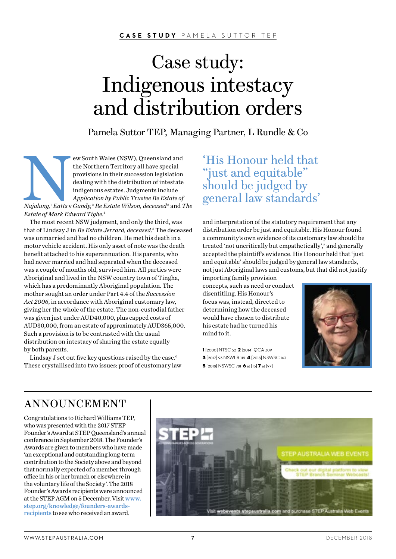**CASE STUDY** PAMELA SUTTOR TEP

### Case study: Indigenous intestacy and distribution orders

Pamela Suttor TEP, Managing Partner, L Rundle & Co

ew South Wales (NSW), Queensland and<br>the Northern Territory all have special<br>provisions in their succession legislation<br>dealing with the distribution of intestate<br>indigenous estates. Judgments include<br>Application by Public the Northern Territory all have special provisions in their succession legislation dealing with the distribution of intestate indigenous estates. Judgments include *Application by Public Trustee Re Estate of Najalung,*<sup>1</sup>  *Eatts* v *Gundy,*<sup>2</sup>  *Re Estate Wilson, deceased* <sup>3</sup> and *The Estate of Mark Edward Tighe*. 4

The most recent NSW judgment, and only the third, was that of Lindsay J in *Re Estate Jerrard, deceased*. 5 The deceased was unmarried and had no children. He met his death in a motor vehicle accident. His only asset of note was the death benefit attached to his superannuation. His parents, who had never married and had separated when the deceased was a couple of months old, survived him. All parties were Aboriginal and lived in the NSW country town of Tingha, which has a predominantly Aboriginal population. The mother sought an order under Part 4.4 of the *Succession Act 2006*, in accordance with Aboriginal customary law, giving her the whole of the estate. The non-custodial father was given just under AUD40,000, plus capped costs of AUD30,000, from an estate of approximately AUD365,000. Such a provision is to be contrasted with the usual distribution on intestacy of sharing the estate equally by both parents.

Lindsay J set out five key questions raised by the case.<sup>6</sup> These crystallised into two issues: proof of customary law 'His Honour held that "just and equitable" should be judged by general law standards'

and interpretation of the statutory requirement that any distribution order be just and equitable. His Honour found a community's own evidence of its customary law should be treated 'not uncritically but empathetically',7 and generally accepted the plaintiff's evidence. His Honour held that 'just and equitable' should be judged by general law standards, not just Aboriginal laws and customs, but that did not justify importing family provision

concepts, such as need or conduct disentitling. His Honour's focus was, instead, directed to determining how the deceased would have chosen to distribute his estate had he turned his mind to it.

1 [2000] NTSC 52 2 [2014] QCA 309 3 [2017] 93 NSWLR 119 4 [2018] NSWSC 163 5 [2018] NSWSC 781 6 at [13] 7 at [97]



#### ANNOUNCEMENT

Congratulations to Richard Williams TEP, who was presented with the 2017 STEP Founder's Award at STEP Queensland's annual conference in September 2018. The Founder's Awards are given to members who have made 'an exceptional and outstanding long-term contribution to the Society above and beyond that normally expected of a member through office in his or her branch or elsewhere in the voluntary life of the Society'. The 2018 Founder's Awards recipients were announced at the STEP AGM on 5 December. Visit [www.](http://www.step.org/knowledge/founders-awards-recipients) [step.org/knowledge/founders-awards](http://www.step.org/knowledge/founders-awards-recipients)[recipients](http://www.step.org/knowledge/founders-awards-recipients) to see who received an award.